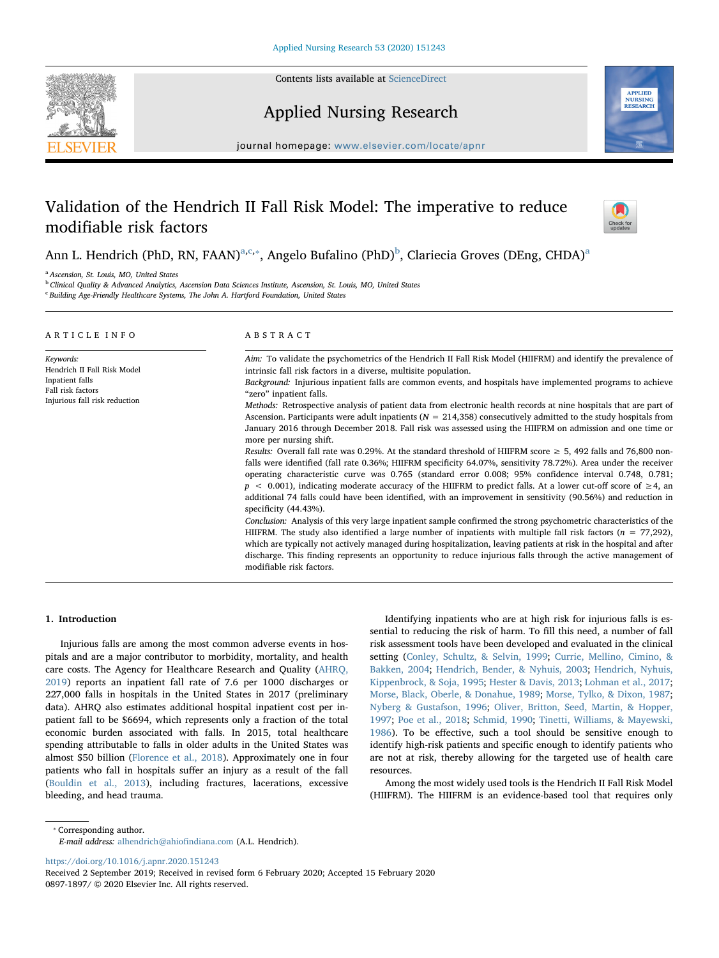

Contents lists available at [ScienceDirect](http://www.sciencedirect.com/science/journal/08971897)

Applied Nursing Research



journal homepage: [www.elsevier.com/locate/apnr](https://www.elsevier.com/locate/apnr)

# Validation of the Hendrich II Fall Risk Model: The imperative to reduce modifiable risk factors



Ann L. Hendrich (PhD, RN, FAAN)<sup>[a](#page-0-0),[c](#page-0-1),\*</sup>, Angelo Bufalino (PhD)<sup>[b](#page-0-3)</sup>, Clariecia Groves (DEng, CHDA)<sup>a</sup>

<span id="page-0-0"></span><sup>a</sup> *Ascension, St. Louis, MO, United States*

<span id="page-0-3"></span><sup>b</sup> *Clinical Quality & Advanced Analytics, Ascension Data Sciences Institute, Ascension, St. Louis, MO, United States*

<span id="page-0-1"></span>c *Building Age-Friendly Healthcare Systems, The John A. Hartford Foundation, United States*

| ARTICLE INFO                                                                                                      | ABSTRACT                                                                                                                                                                                                                                                                                                                                                                                                                                                                                                                                                                                                                                                                                                                                                                                                                                                                                                                                                                                                                                                                                                                                                                                                                                                                                                                                                                                                                                                                                                                                                                                                                                                                                                                                                                                                                                                 |
|-------------------------------------------------------------------------------------------------------------------|----------------------------------------------------------------------------------------------------------------------------------------------------------------------------------------------------------------------------------------------------------------------------------------------------------------------------------------------------------------------------------------------------------------------------------------------------------------------------------------------------------------------------------------------------------------------------------------------------------------------------------------------------------------------------------------------------------------------------------------------------------------------------------------------------------------------------------------------------------------------------------------------------------------------------------------------------------------------------------------------------------------------------------------------------------------------------------------------------------------------------------------------------------------------------------------------------------------------------------------------------------------------------------------------------------------------------------------------------------------------------------------------------------------------------------------------------------------------------------------------------------------------------------------------------------------------------------------------------------------------------------------------------------------------------------------------------------------------------------------------------------------------------------------------------------------------------------------------------------|
| Keywords:<br>Hendrich II Fall Risk Model<br>Inpatient falls<br>Fall risk factors<br>Injurious fall risk reduction | Aim: To validate the psychometrics of the Hendrich II Fall Risk Model (HIIFRM) and identify the prevalence of<br>intrinsic fall risk factors in a diverse, multisite population.<br>Background: Injurious inpatient falls are common events, and hospitals have implemented programs to achieve<br>"zero" inpatient falls.<br><i>Methods:</i> Retrospective analysis of patient data from electronic health records at nine hospitals that are part of<br>Ascension. Participants were adult inpatients ( $N = 214,358$ ) consecutively admitted to the study hospitals from<br>January 2016 through December 2018. Fall risk was assessed using the HIIFRM on admission and one time or<br>more per nursing shift.<br>Results: Overall fall rate was 0.29%. At the standard threshold of HIIFRM score $\geq$ 5, 492 falls and 76,800 non-<br>falls were identified (fall rate 0.36%; HIIFRM specificity 64.07%, sensitivity 78.72%). Area under the receiver<br>operating characteristic curve was 0.765 (standard error 0.008; 95% confidence interval 0.748, 0.781;<br>$p \le 0.001$ ), indicating moderate accuracy of the HIIFRM to predict falls. At a lower cut-off score of $\ge 4$ , an<br>additional 74 falls could have been identified, with an improvement in sensitivity (90.56%) and reduction in<br>specificity $(44.43\%)$ .<br>Conclusion: Analysis of this very large inpatient sample confirmed the strong psychometric characteristics of the<br>HIIFRM. The study also identified a large number of inpatients with multiple fall risk factors $(n = 77,292)$ ,<br>which are typically not actively managed during hospitalization, leaving patients at risk in the hospital and after<br>discharge. This finding represents an opportunity to reduce injurious falls through the active management of<br>modifiable risk factors. |

# 1. Introduction

Injurious falls are among the most common adverse events in hospitals and are a major contributor to morbidity, mortality, and health care costs. The Agency for Healthcare Research and Quality [\(AHRQ,](#page-5-0) [2019\)](#page-5-0) reports an inpatient fall rate of 7.6 per 1000 discharges or 227,000 falls in hospitals in the United States in 2017 (preliminary data). AHRQ also estimates additional hospital inpatient cost per inpatient fall to be \$6694, which represents only a fraction of the total economic burden associated with falls. In 2015, total healthcare spending attributable to falls in older adults in the United States was almost \$50 billion ([Florence et al., 2018\)](#page-6-0). Approximately one in four patients who fall in hospitals suffer an injury as a result of the fall ([Bouldin et al., 2013\)](#page-6-1), including fractures, lacerations, excessive bleeding, and head trauma.

Identifying inpatients who are at high risk for injurious falls is essential to reducing the risk of harm. To fill this need, a number of fall risk assessment tools have been developed and evaluated in the clinical setting ([Conley, Schultz, & Selvin, 1999;](#page-6-2) [Currie, Mellino, Cimino, &](#page-6-3) [Bakken, 2004;](#page-6-3) [Hendrich, Bender, & Nyhuis, 2003;](#page-6-4) [Hendrich, Nyhuis,](#page-6-5) [Kippenbrock, & Soja, 1995;](#page-6-5) [Hester & Davis, 2013](#page-6-6); [Lohman et al., 2017](#page-6-7); [Morse, Black, Oberle, & Donahue, 1989;](#page-6-8) [Morse, Tylko, & Dixon, 1987](#page-6-9); [Nyberg & Gustafson, 1996;](#page-6-10) [Oliver, Britton, Seed, Martin, & Hopper,](#page-6-11) [1997;](#page-6-11) [Poe et al., 2018](#page-6-12); [Schmid, 1990;](#page-6-13) [Tinetti, Williams, & Mayewski,](#page-6-14) [1986\)](#page-6-14). To be effective, such a tool should be sensitive enough to identify high-risk patients and specific enough to identify patients who are not at risk, thereby allowing for the targeted use of health care resources.

Among the most widely used tools is the Hendrich II Fall Risk Model (HIIFRM). The HIIFRM is an evidence-based tool that requires only

<span id="page-0-2"></span>⁎ Corresponding author.

<https://doi.org/10.1016/j.apnr.2020.151243>

*E-mail address:* [alhendrich@ahio](mailto:alhendrich@ahiofindiana.com)findiana.com (A.L. Hendrich).

Received 2 September 2019; Received in revised form 6 February 2020; Accepted 15 February 2020 0897-1897/ © 2020 Elsevier Inc. All rights reserved.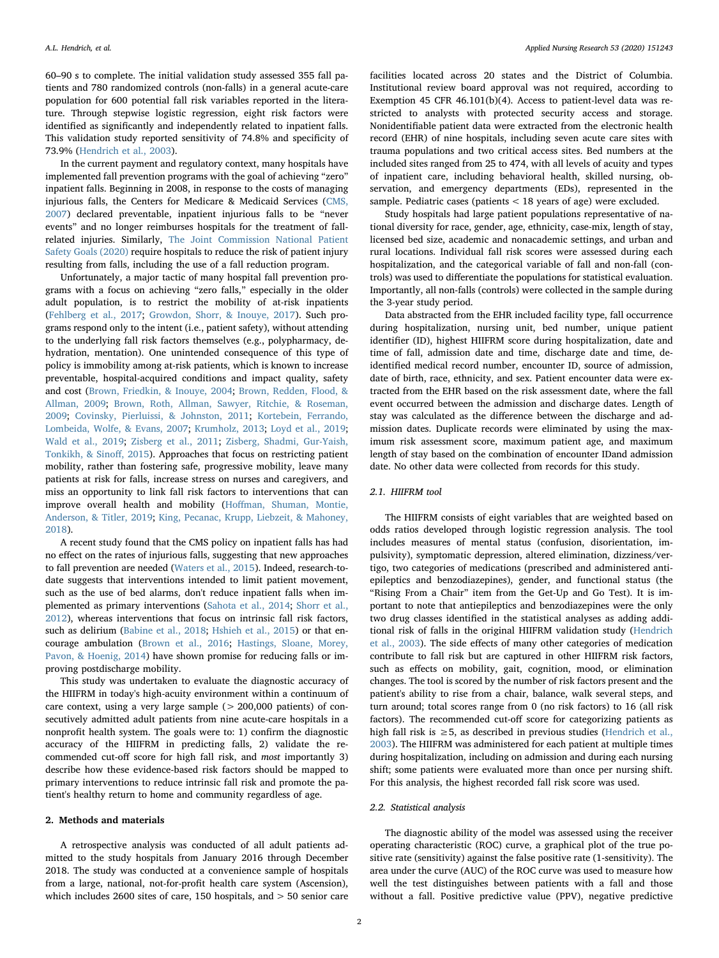60–90 s to complete. The initial validation study assessed 355 fall patients and 780 randomized controls (non-falls) in a general acute-care population for 600 potential fall risk variables reported in the literature. Through stepwise logistic regression, eight risk factors were identified as significantly and independently related to inpatient falls. This validation study reported sensitivity of 74.8% and specificity of 73.9% ([Hendrich et al., 2003\)](#page-6-4).

In the current payment and regulatory context, many hospitals have implemented fall prevention programs with the goal of achieving "zero" inpatient falls. Beginning in 2008, in response to the costs of managing injurious falls, the Centers for Medicare & Medicaid Services [\(CMS,](#page-6-15) [2007\)](#page-6-15) declared preventable, inpatient injurious falls to be "never events" and no longer reimburses hospitals for the treatment of fallrelated injuries. Similarly, [The Joint Commission National Patient](#page-6-16) [Safety Goals \(2020\)](#page-6-16) require hospitals to reduce the risk of patient injury resulting from falls, including the use of a fall reduction program.

Unfortunately, a major tactic of many hospital fall prevention programs with a focus on achieving "zero falls," especially in the older adult population, is to restrict the mobility of at-risk inpatients ([Fehlberg et al., 2017;](#page-6-17) [Growdon, Shorr, & Inouye, 2017\)](#page-6-18). Such programs respond only to the intent (i.e., patient safety), without attending to the underlying fall risk factors themselves (e.g., polypharmacy, dehydration, mentation). One unintended consequence of this type of policy is immobility among at-risk patients, which is known to increase preventable, hospital-acquired conditions and impact quality, safety and cost ([Brown, Friedkin, & Inouye, 2004;](#page-6-19) [Brown, Redden, Flood, &](#page-6-20) [Allman, 2009;](#page-6-20) [Brown, Roth, Allman, Sawyer, Ritchie, & Roseman,](#page-6-21) [2009;](#page-6-21) [Covinsky, Pierluissi, & Johnston, 2011;](#page-6-22) [Kortebein, Ferrando,](#page-6-23) [Lombeida, Wolfe, & Evans, 2007](#page-6-23); [Krumholz, 2013](#page-6-24); [Loyd et al., 2019](#page-6-25); [Wald et al., 2019;](#page-7-0) [Zisberg et al., 2011](#page-7-1); [Zisberg, Shadmi, Gur-Yaish,](#page-7-2) [Tonkikh, & Sino](#page-7-2)ff, 2015). Approaches that focus on restricting patient mobility, rather than fostering safe, progressive mobility, leave many patients at risk for falls, increase stress on nurses and caregivers, and miss an opportunity to link fall risk factors to interventions that can improve overall health and mobility (Hoff[man, Shuman, Montie,](#page-6-26) [Anderson, & Titler, 2019;](#page-6-26) [King, Pecanac, Krupp, Liebzeit, & Mahoney,](#page-6-27) [2018\)](#page-6-27).

A recent study found that the CMS policy on inpatient falls has had no effect on the rates of injurious falls, suggesting that new approaches to fall prevention are needed ([Waters et al., 2015](#page-7-3)). Indeed, research-todate suggests that interventions intended to limit patient movement, such as the use of bed alarms, don't reduce inpatient falls when implemented as primary interventions ([Sahota et al., 2014](#page-6-28); [Shorr et al.,](#page-6-29) [2012\)](#page-6-29), whereas interventions that focus on intrinsic fall risk factors, such as delirium ([Babine et al., 2018;](#page-6-30) [Hshieh et al., 2015\)](#page-6-31) or that encourage ambulation ([Brown et al., 2016;](#page-6-32) [Hastings, Sloane, Morey,](#page-6-33) [Pavon, & Hoenig, 2014\)](#page-6-33) have shown promise for reducing falls or improving postdischarge mobility.

This study was undertaken to evaluate the diagnostic accuracy of the HIIFRM in today's high-acuity environment within a continuum of care context, using a very large sample (> 200,000 patients) of consecutively admitted adult patients from nine acute-care hospitals in a nonprofit health system. The goals were to: 1) confirm the diagnostic accuracy of the HIIFRM in predicting falls, 2) validate the recommended cut-off score for high fall risk, and *most* importantly 3) describe how these evidence-based risk factors should be mapped to primary interventions to reduce intrinsic fall risk and promote the patient's healthy return to home and community regardless of age.

## 2. Methods and materials

A retrospective analysis was conducted of all adult patients admitted to the study hospitals from January 2016 through December 2018. The study was conducted at a convenience sample of hospitals from a large, national, not-for-profit health care system (Ascension), which includes 2600 sites of care, 150 hospitals, and > 50 senior care facilities located across 20 states and the District of Columbia. Institutional review board approval was not required, according to Exemption 45 CFR 46.101(b)(4). Access to patient-level data was restricted to analysts with protected security access and storage. Nonidentifiable patient data were extracted from the electronic health record (EHR) of nine hospitals, including seven acute care sites with trauma populations and two critical access sites. Bed numbers at the included sites ranged from 25 to 474, with all levels of acuity and types of inpatient care, including behavioral health, skilled nursing, observation, and emergency departments (EDs), represented in the sample. Pediatric cases (patients < 18 years of age) were excluded.

Study hospitals had large patient populations representative of national diversity for race, gender, age, ethnicity, case-mix, length of stay, licensed bed size, academic and nonacademic settings, and urban and rural locations. Individual fall risk scores were assessed during each hospitalization, and the categorical variable of fall and non-fall (controls) was used to differentiate the populations for statistical evaluation. Importantly, all non-falls (controls) were collected in the sample during the 3-year study period.

Data abstracted from the EHR included facility type, fall occurrence during hospitalization, nursing unit, bed number, unique patient identifier (ID), highest HIIFRM score during hospitalization, date and time of fall, admission date and time, discharge date and time, deidentified medical record number, encounter ID, source of admission, date of birth, race, ethnicity, and sex. Patient encounter data were extracted from the EHR based on the risk assessment date, where the fall event occurred between the admission and discharge dates. Length of stay was calculated as the difference between the discharge and admission dates. Duplicate records were eliminated by using the maximum risk assessment score, maximum patient age, and maximum length of stay based on the combination of encounter IDand admission date. No other data were collected from records for this study.

# *2.1. HIIFRM tool*

The HIIFRM consists of eight variables that are weighted based on odds ratios developed through logistic regression analysis. The tool includes measures of mental status (confusion, disorientation, impulsivity), symptomatic depression, altered elimination, dizziness/vertigo, two categories of medications (prescribed and administered antiepileptics and benzodiazepines), gender, and functional status (the "Rising From a Chair" item from the Get-Up and Go Test). It is important to note that antiepileptics and benzodiazepines were the only two drug classes identified in the statistical analyses as adding additional risk of falls in the original HIIFRM validation study ([Hendrich](#page-6-4) [et al., 2003](#page-6-4)). The side effects of many other categories of medication contribute to fall risk but are captured in other HIIFRM risk factors, such as effects on mobility, gait, cognition, mood, or elimination changes. The tool is scored by the number of risk factors present and the patient's ability to rise from a chair, balance, walk several steps, and turn around; total scores range from 0 (no risk factors) to 16 (all risk factors). The recommended cut-off score for categorizing patients as high fall risk is ≥5, as described in previous studies ([Hendrich et al.,](#page-6-4) [2003\)](#page-6-4). The HIIFRM was administered for each patient at multiple times during hospitalization, including on admission and during each nursing shift; some patients were evaluated more than once per nursing shift. For this analysis, the highest recorded fall risk score was used.

## *2.2. Statistical analysis*

The diagnostic ability of the model was assessed using the receiver operating characteristic (ROC) curve, a graphical plot of the true positive rate (sensitivity) against the false positive rate (1-sensitivity). The area under the curve (AUC) of the ROC curve was used to measure how well the test distinguishes between patients with a fall and those without a fall. Positive predictive value (PPV), negative predictive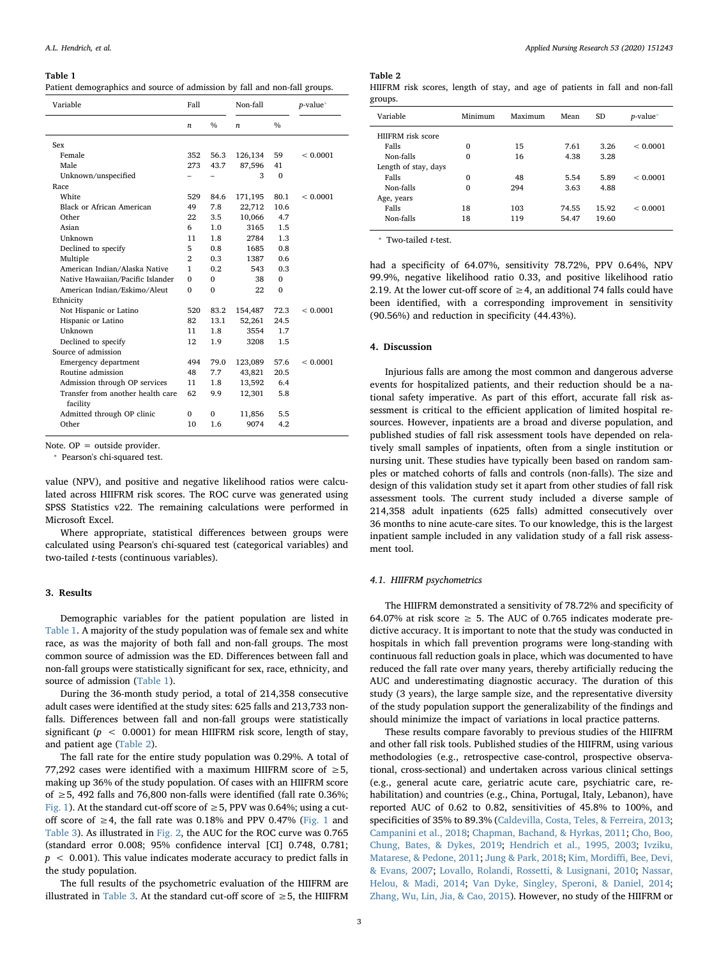#### <span id="page-2-0"></span>Table 1

Patient demographics and source of admission by fall and non-fall groups.

| Variable                          |                  |               | Non-fall         |               | $p$ -value* |
|-----------------------------------|------------------|---------------|------------------|---------------|-------------|
|                                   | $\boldsymbol{n}$ | $\frac{0}{0}$ | $\boldsymbol{n}$ | $\frac{0}{0}$ |             |
| Sex                               |                  |               |                  |               |             |
| Female                            | 352              | 56.3          | 126,134          | 59            | < 0.0001    |
| Male                              | 273              | 43.7          | 87,596           | 41            |             |
| Unknown/unspecified               |                  |               | 3                | $\Omega$      |             |
| Race                              |                  |               |                  |               |             |
| White                             | 529              | 84.6          | 171,195          | 80.1          | < 0.0001    |
| Black or African American         | 49               | 7.8           | 22,712           | 10.6          |             |
| Other                             | 22               | 3.5           | 10,066           | 4.7           |             |
| Asian                             | 6                | 1.0           | 3165             | 1.5           |             |
| Unknown                           | 11               | 1.8           | 2784             | 1.3           |             |
| Declined to specify               | 5                | 0.8           | 1685             | 0.8           |             |
| Multiple                          | $\overline{2}$   | 0.3           | 1387             | 0.6           |             |
| American Indian/Alaska Native     | 1                | 0.2           | 543              | 0.3           |             |
| Native Hawaiian/Pacific Islander  | $\Omega$         | $\Omega$      | 38               | $\Omega$      |             |
| American Indian/Eskimo/Aleut      | $\Omega$         | $\Omega$      | 22               | $\Omega$      |             |
| Ethnicity                         |                  |               |                  |               |             |
| Not Hispanic or Latino            | 520              | 83.2          | 154,487          | 72.3          | < 0.0001    |
| Hispanic or Latino                | 82               | 13.1          | 52,261           | 24.5          |             |
| Unknown                           | 11               | 1.8           | 3554             | 1.7           |             |
| Declined to specify               | 12               | 1.9           | 3208             | 1.5           |             |
| Source of admission               |                  |               |                  |               |             |
| Emergency department              | 494              | 79.0          | 123,089          | 57.6          | < 0.0001    |
| Routine admission                 | 48               | 7.7           | 43,821           | 20.5          |             |
| Admission through OP services     | 11               | 1.8           | 13,592           | 6.4           |             |
| Transfer from another health care | 62               | 9.9           | 12,301           | 5.8           |             |
| facility                          |                  |               |                  |               |             |
| Admitted through OP clinic        | $\Omega$         | $\Omega$      | 11,856           | 5.5           |             |
| Other                             | 10               | 1.6           | 9074             | 4.2           |             |

Note. OP = outside provider.

<span id="page-2-2"></span>⁎ Pearson's chi-squared test.

value (NPV), and positive and negative likelihood ratios were calculated across HIIFRM risk scores. The ROC curve was generated using SPSS Statistics v22. The remaining calculations were performed in Microsoft Excel.

Where appropriate, statistical differences between groups were calculated using Pearson's chi-squared test (categorical variables) and two-tailed *t*-tests (continuous variables).

## 3. Results

Demographic variables for the patient population are listed in [Table 1.](#page-2-0) A majority of the study population was of female sex and white race, as was the majority of both fall and non-fall groups. The most common source of admission was the ED. Differences between fall and non-fall groups were statistically significant for sex, race, ethnicity, and source of admission ([Table 1](#page-2-0)).

During the 36-month study period, a total of 214,358 consecutive adult cases were identified at the study sites: 625 falls and 213,733 nonfalls. Differences between fall and non-fall groups were statistically significant (*p* < 0.0001) for mean HIIFRM risk score, length of stay, and patient age ([Table 2](#page-2-1)).

The fall rate for the entire study population was 0.29%. A total of 77,292 cases were identified with a maximum HIIFRM score of  $\geq 5$ , making up 36% of the study population. Of cases with an HIIFRM score of ≥5, 492 falls and 76,800 non-falls were identified (fall rate 0.36%; [Fig. 1](#page-3-0)). At the standard cut-off score of  $\geq$  5, PPV was 0.64%; using a cut-off score of ≥4, the fall rate was 0.18% and PPV 0.47% [\(Fig. 1](#page-3-0) and [Table 3](#page-3-1)). As illustrated in [Fig. 2,](#page-4-0) the AUC for the ROC curve was 0.765 (standard error 0.008; 95% confidence interval [CI] 0.748, 0.781;  $p \sim 0.001$ ). This value indicates moderate accuracy to predict falls in the study population.

The full results of the psychometric evaluation of the HIIFRM are illustrated in [Table 3](#page-3-1). At the standard cut-off score of  $\geq$  5, the HIIFRM

### <span id="page-2-1"></span>Table 2

|         |  |  |  |  | HIIFRM risk scores, length of stay, and age of patients in fall and non-fall |  |  |
|---------|--|--|--|--|------------------------------------------------------------------------------|--|--|
| groups. |  |  |  |  |                                                                              |  |  |

| Variable             | Minimum  | Maximum | Mean  | SD    | $p$ -value* |
|----------------------|----------|---------|-------|-------|-------------|
| HIJFRM risk score    |          |         |       |       |             |
| Falls                | $\Omega$ | 15      | 7.61  | 3.26  | < 0.0001    |
| Non-falls            | $\Omega$ | 16      | 4.38  | 3.28  |             |
| Length of stay, days |          |         |       |       |             |
| Falls                | $\Omega$ | 48      | 5.54  | 5.89  | < 0.0001    |
| Non-falls            | $\Omega$ | 294     | 3.63  | 4.88  |             |
| Age, years           |          |         |       |       |             |
| Falls                | 18       | 103     | 74.55 | 15.92 | < 0.0001    |
| Non-falls            | 18       | 119     | 54.47 | 19.60 |             |
|                      |          |         |       |       |             |

<span id="page-2-3"></span>⁎ Two-tailed *t*-test.

had a specificity of 64.07%, sensitivity 78.72%, PPV 0.64%, NPV 99.9%, negative likelihood ratio 0.33, and positive likelihood ratio 2.19. At the lower cut-off score of  $\geq$  4, an additional 74 falls could have been identified, with a corresponding improvement in sensitivity (90.56%) and reduction in specificity (44.43%).

## 4. Discussion

Injurious falls are among the most common and dangerous adverse events for hospitalized patients, and their reduction should be a national safety imperative. As part of this effort, accurate fall risk assessment is critical to the efficient application of limited hospital resources. However, inpatients are a broad and diverse population, and published studies of fall risk assessment tools have depended on relatively small samples of inpatients, often from a single institution or nursing unit. These studies have typically been based on random samples or matched cohorts of falls and controls (non-falls). The size and design of this validation study set it apart from other studies of fall risk assessment tools. The current study included a diverse sample of 214,358 adult inpatients (625 falls) admitted consecutively over 36 months to nine acute-care sites. To our knowledge, this is the largest inpatient sample included in any validation study of a fall risk assessment tool.

#### *4.1. HIIFRM psychometrics*

The HIIFRM demonstrated a sensitivity of 78.72% and specificity of 64.07% at risk score  $\geq$  5. The AUC of 0.765 indicates moderate predictive accuracy. It is important to note that the study was conducted in hospitals in which fall prevention programs were long-standing with continuous fall reduction goals in place, which was documented to have reduced the fall rate over many years, thereby artificially reducing the AUC and underestimating diagnostic accuracy. The duration of this study (3 years), the large sample size, and the representative diversity of the study population support the generalizability of the findings and should minimize the impact of variations in local practice patterns.

These results compare favorably to previous studies of the HIIFRM and other fall risk tools. Published studies of the HIIFRM, using various methodologies (e.g., retrospective case-control, prospective observational, cross-sectional) and undertaken across various clinical settings (e.g., general acute care, geriatric acute care, psychiatric care, rehabilitation) and countries (e.g., China, Portugal, Italy, Lebanon), have reported AUC of 0.62 to 0.82, sensitivities of 45.8% to 100%, and specificities of 35% to 89.3% ([Caldevilla, Costa, Teles, & Ferreira, 2013](#page-6-34); [Campanini et al., 2018;](#page-6-35) [Chapman, Bachand, & Hyrkas, 2011](#page-6-36); [Cho, Boo,](#page-6-37) [Chung, Bates, & Dykes, 2019](#page-6-37); [Hendrich et al., 1995, 2003](#page-6-5); [Ivziku,](#page-6-38) [Matarese, & Pedone, 2011](#page-6-38); [Jung & Park, 2018;](#page-6-39) [Kim, Mordi](#page-6-40)ffi, Bee, Devi, [& Evans, 2007](#page-6-40); [Lovallo, Rolandi, Rossetti, & Lusignani, 2010;](#page-6-41) [Nassar,](#page-6-42) [Helou, & Madi, 2014;](#page-6-42) [Van Dyke, Singley, Speroni, & Daniel, 2014](#page-7-4); [Zhang, Wu, Lin, Jia, & Cao, 2015\)](#page-7-5). However, no study of the HIIFRM or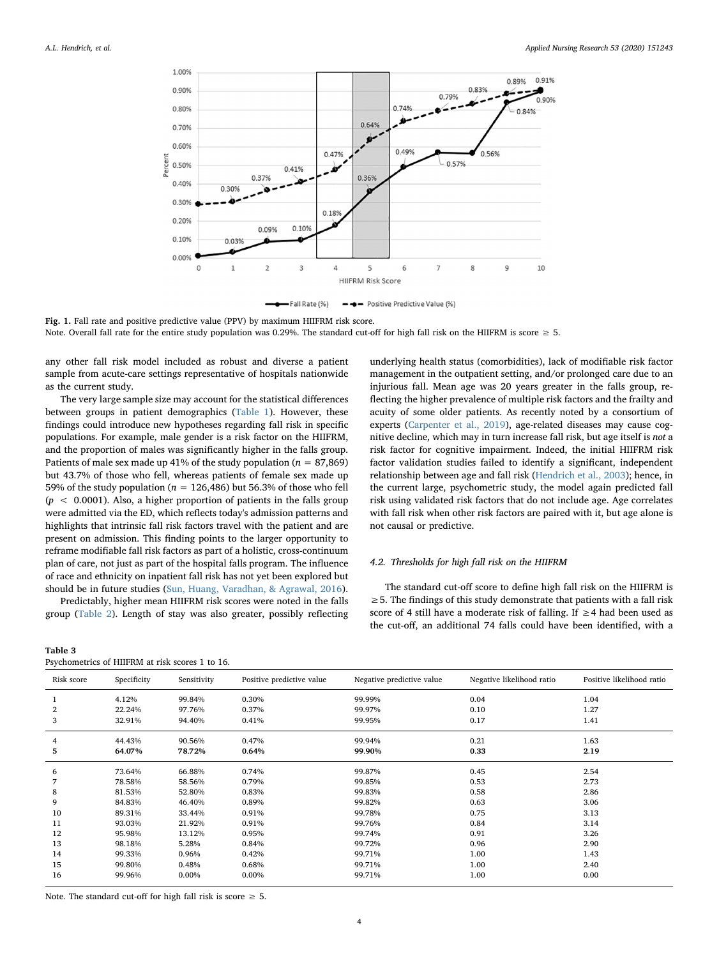<span id="page-3-0"></span>

-Fall Rate (%) - - Positive Predictive Value (%)

Note. Overall fall rate for the entire study population was 0.29%. The standard cut-off for high fall risk on the HIIFRM is score ≥ 5.

any other fall risk model included as robust and diverse a patient sample from acute-care settings representative of hospitals nationwide as the current study.

The very large sample size may account for the statistical differences between groups in patient demographics [\(Table 1](#page-2-0)). However, these findings could introduce new hypotheses regarding fall risk in specific populations. For example, male gender is a risk factor on the HIIFRM, and the proportion of males was significantly higher in the falls group. Patients of male sex made up 41% of the study population ( $n = 87,869$ ) but 43.7% of those who fell, whereas patients of female sex made up 59% of the study population (*n* = 126,486) but 56.3% of those who fell (*p* < 0.0001). Also, a higher proportion of patients in the falls group were admitted via the ED, which reflects today's admission patterns and highlights that intrinsic fall risk factors travel with the patient and are present on admission. This finding points to the larger opportunity to reframe modifiable fall risk factors as part of a holistic, cross-continuum plan of care, not just as part of the hospital falls program. The influence of race and ethnicity on inpatient fall risk has not yet been explored but should be in future studies [\(Sun, Huang, Varadhan, & Agrawal, 2016](#page-6-43)).

Predictably, higher mean HIIFRM risk scores were noted in the falls group ([Table 2\)](#page-2-1). Length of stay was also greater, possibly reflecting

<span id="page-3-1"></span>

| Table 3 |                                                 |  |  |
|---------|-------------------------------------------------|--|--|
|         | Psychometrics of HIIFRM at risk scores 1 to 16. |  |  |

underlying health status (comorbidities), lack of modifiable risk factor management in the outpatient setting, and/or prolonged care due to an injurious fall. Mean age was 20 years greater in the falls group, reflecting the higher prevalence of multiple risk factors and the frailty and acuity of some older patients. As recently noted by a consortium of experts [\(Carpenter et al., 2019\)](#page-6-44), age-related diseases may cause cognitive decline, which may in turn increase fall risk, but age itself is *not* a risk factor for cognitive impairment. Indeed, the initial HIIFRM risk factor validation studies failed to identify a significant, independent relationship between age and fall risk ([Hendrich et al., 2003](#page-6-4)); hence, in the current large, psychometric study, the model again predicted fall risk using validated risk factors that do not include age. Age correlates with fall risk when other risk factors are paired with it, but age alone is not causal or predictive.

# *4.2. Thresholds for high fall risk on the HIIFRM*

The standard cut-off score to define high fall risk on the HIIFRM is  $\geq$  5. The findings of this study demonstrate that patients with a fall risk score of 4 still have a moderate risk of falling. If ≥4 had been used as the cut-off, an additional 74 falls could have been identified, with a

| Risk score | Specificity | Sensitivity | Positive predictive value | Negative predictive value | Negative likelihood ratio | Positive likelihood ratio |
|------------|-------------|-------------|---------------------------|---------------------------|---------------------------|---------------------------|
|            | 4.12%       | 99.84%      | 0.30%                     | 99.99%                    | 0.04                      | 1.04                      |
| 2          | 22.24%      | 97.76%      | 0.37%                     | 99.97%                    | 0.10                      | 1.27                      |
| 3          | 32.91%      | 94.40%      | 0.41%                     | 99.95%                    | 0.17                      | 1.41                      |
| 4          | 44.43%      | 90.56%      | 0.47%                     | 99.94%                    | 0.21                      | 1.63                      |
| 5          | 64.07%      | 78.72%      | 0.64%                     | 99.90%                    | 0.33                      | 2.19                      |
| 6          | 73.64%      | 66.88%      | 0.74%                     | 99.87%                    | 0.45                      | 2.54                      |
|            | 78.58%      | 58.56%      | 0.79%                     | 99.85%                    | 0.53                      | 2.73                      |
| 8          | 81.53%      | 52.80%      | 0.83%                     | 99.83%                    | 0.58                      | 2.86                      |
| 9          | 84.83%      | 46.40%      | 0.89%                     | 99.82%                    | 0.63                      | 3.06                      |
| 10         | 89.31%      | 33.44%      | 0.91%                     | 99.78%                    | 0.75                      | 3.13                      |
| 11         | 93.03%      | 21.92%      | 0.91%                     | 99.76%                    | 0.84                      | 3.14                      |
| 12         | 95.98%      | 13.12%      | 0.95%                     | 99.74%                    | 0.91                      | 3.26                      |
| 13         | 98.18%      | 5.28%       | 0.84%                     | 99.72%                    | 0.96                      | 2.90                      |
| 14         | 99.33%      | 0.96%       | 0.42%                     | 99.71%                    | 1.00                      | 1.43                      |
| 15         | 99.80%      | 0.48%       | 0.68%                     | 99.71%                    | 1.00                      | 2.40                      |
| 16         | 99.96%      | 0.00%       | 0.00%                     | 99.71%                    | 1.00                      | 0.00                      |

Note. The standard cut-off for high fall risk is score  $\geq$  5.

Fig. 1. Fall rate and positive predictive value (PPV) by maximum HIIFRM risk score.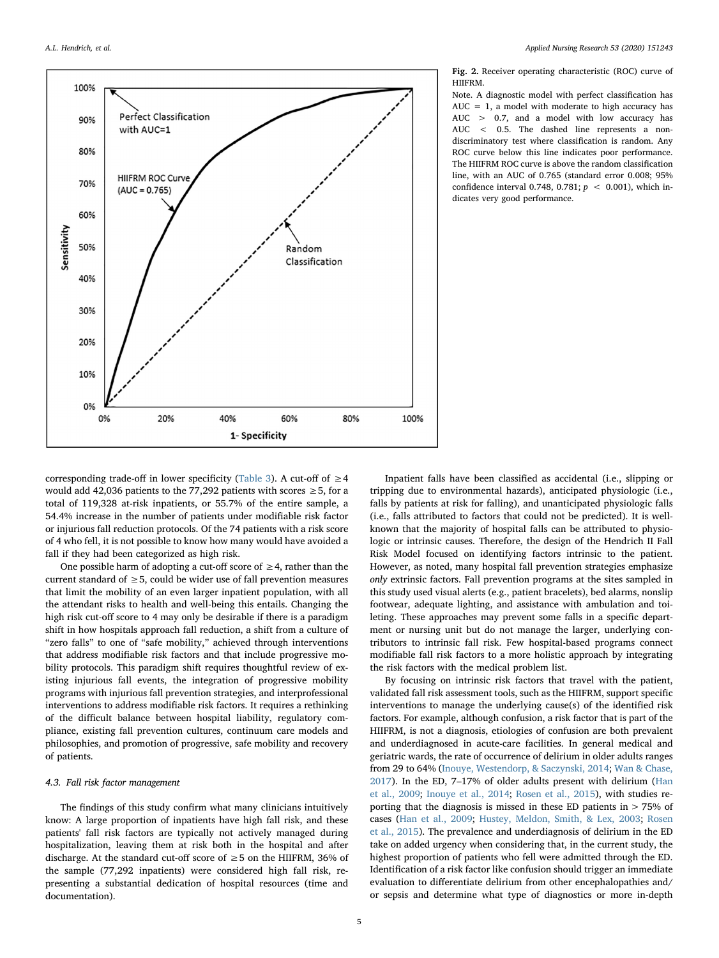<span id="page-4-0"></span>

Fig. 2. Receiver operating characteristic (ROC) curve of HIIFRM.

Note. A diagnostic model with perfect classification has  $AUC = 1$ , a model with moderate to high accuracy has AUC > 0.7, and a model with low accuracy has AUC < 0.5. The dashed line represents a nondiscriminatory test where classification is random. Any ROC curve below this line indicates poor performance. The HIIFRM ROC curve is above the random classification line, with an AUC of 0.765 (standard error 0.008; 95% confidence interval 0.748, 0.781; *p* < 0.001), which indicates very good performance.

corresponding trade-off in lower specificity ([Table 3\)](#page-3-1). A cut-off of  $\geq 4$ would add 42,036 patients to the 77,292 patients with scores  $\geq$  5, for a total of 119,328 at-risk inpatients, or 55.7% of the entire sample, a 54.4% increase in the number of patients under modifiable risk factor or injurious fall reduction protocols. Of the 74 patients with a risk score of 4 who fell, it is not possible to know how many would have avoided a fall if they had been categorized as high risk.

One possible harm of adopting a cut-off score of  $\geq$  4, rather than the current standard of  $\geq$  5, could be wider use of fall prevention measures that limit the mobility of an even larger inpatient population, with all the attendant risks to health and well-being this entails. Changing the high risk cut-off score to 4 may only be desirable if there is a paradigm shift in how hospitals approach fall reduction, a shift from a culture of "zero falls" to one of "safe mobility," achieved through interventions that address modifiable risk factors and that include progressive mobility protocols. This paradigm shift requires thoughtful review of existing injurious fall events, the integration of progressive mobility programs with injurious fall prevention strategies, and interprofessional interventions to address modifiable risk factors. It requires a rethinking of the difficult balance between hospital liability, regulatory compliance, existing fall prevention cultures, continuum care models and philosophies, and promotion of progressive, safe mobility and recovery of patients.

## *4.3. Fall risk factor management*

The findings of this study confirm what many clinicians intuitively know: A large proportion of inpatients have high fall risk, and these patients' fall risk factors are typically not actively managed during hospitalization, leaving them at risk both in the hospital and after discharge. At the standard cut-off score of  $\geq$  5 on the HIIFRM, 36% of the sample (77,292 inpatients) were considered high fall risk, representing a substantial dedication of hospital resources (time and documentation).

Inpatient falls have been classified as accidental (i.e., slipping or tripping due to environmental hazards), anticipated physiologic (i.e., falls by patients at risk for falling), and unanticipated physiologic falls (i.e., falls attributed to factors that could not be predicted). It is wellknown that the majority of hospital falls can be attributed to physiologic or intrinsic causes. Therefore, the design of the Hendrich II Fall Risk Model focused on identifying factors intrinsic to the patient. However, as noted, many hospital fall prevention strategies emphasize *only* extrinsic factors. Fall prevention programs at the sites sampled in this study used visual alerts (e.g., patient bracelets), bed alarms, nonslip footwear, adequate lighting, and assistance with ambulation and toileting. These approaches may prevent some falls in a specific department or nursing unit but do not manage the larger, underlying contributors to intrinsic fall risk. Few hospital-based programs connect modifiable fall risk factors to a more holistic approach by integrating the risk factors with the medical problem list.

By focusing on intrinsic risk factors that travel with the patient, validated fall risk assessment tools, such as the HIIFRM, support specific interventions to manage the underlying cause(s) of the identified risk factors. For example, although confusion, a risk factor that is part of the HIIFRM, is not a diagnosis, etiologies of confusion are both prevalent and underdiagnosed in acute-care facilities. In general medical and geriatric wards, the rate of occurrence of delirium in older adults ranges from 29 to 64% [\(Inouye, Westendorp, & Saczynski, 2014;](#page-6-45) [Wan & Chase,](#page-7-6) [2017\)](#page-7-6). In the ED, 7–17% of older adults present with delirium [\(Han](#page-6-46) [et al., 2009](#page-6-46); [Inouye et al., 2014](#page-6-45); [Rosen et al., 2015](#page-6-47)), with studies reporting that the diagnosis is missed in these ED patients in > 75% of cases [\(Han et al., 2009](#page-6-46); [Hustey, Meldon, Smith, & Lex, 2003;](#page-6-48) [Rosen](#page-6-47) [et al., 2015](#page-6-47)). The prevalence and underdiagnosis of delirium in the ED take on added urgency when considering that, in the current study, the highest proportion of patients who fell were admitted through the ED. Identification of a risk factor like confusion should trigger an immediate evaluation to differentiate delirium from other encephalopathies and/ or sepsis and determine what type of diagnostics or more in-depth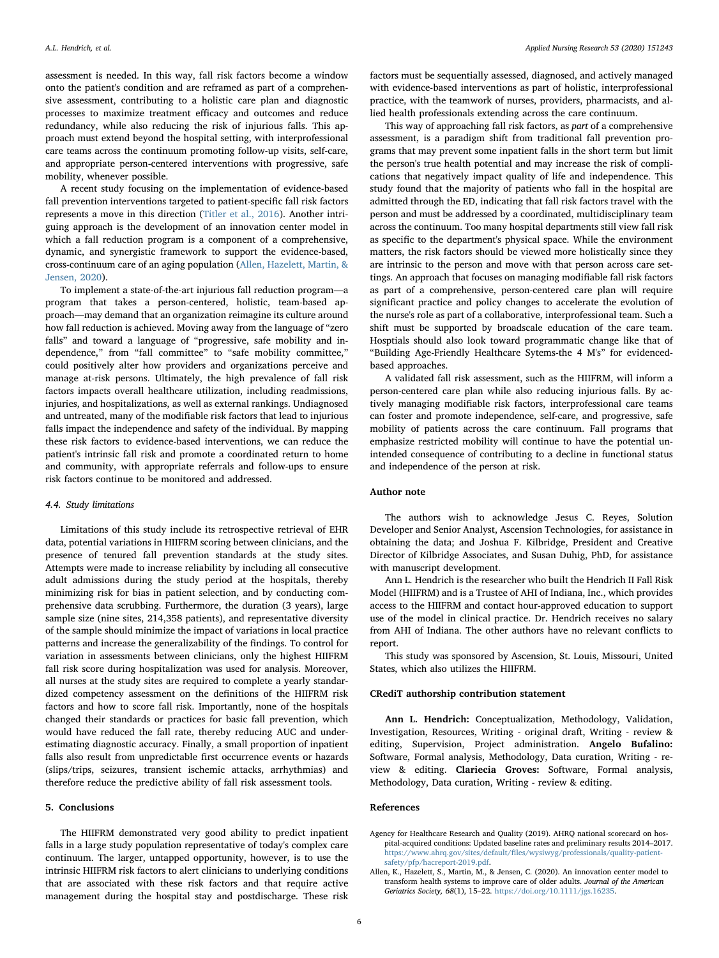assessment is needed. In this way, fall risk factors become a window onto the patient's condition and are reframed as part of a comprehensive assessment, contributing to a holistic care plan and diagnostic processes to maximize treatment efficacy and outcomes and reduce redundancy, while also reducing the risk of injurious falls. This approach must extend beyond the hospital setting, with interprofessional care teams across the continuum promoting follow-up visits, self-care, and appropriate person-centered interventions with progressive, safe mobility, whenever possible.

A recent study focusing on the implementation of evidence-based fall prevention interventions targeted to patient-specific fall risk factors represents a move in this direction [\(Titler et al., 2016\)](#page-6-49). Another intriguing approach is the development of an innovation center model in which a fall reduction program is a component of a comprehensive, dynamic, and synergistic framework to support the evidence-based, cross-continuum care of an aging population ([Allen, Hazelett, Martin, &](#page-5-1) [Jensen, 2020](#page-5-1)).

To implement a state-of-the-art injurious fall reduction program—a program that takes a person-centered, holistic, team-based approach—may demand that an organization reimagine its culture around how fall reduction is achieved. Moving away from the language of "zero falls" and toward a language of "progressive, safe mobility and independence," from "fall committee" to "safe mobility committee," could positively alter how providers and organizations perceive and manage at-risk persons. Ultimately, the high prevalence of fall risk factors impacts overall healthcare utilization, including readmissions, injuries, and hospitalizations, as well as external rankings. Undiagnosed and untreated, many of the modifiable risk factors that lead to injurious falls impact the independence and safety of the individual. By mapping these risk factors to evidence-based interventions, we can reduce the patient's intrinsic fall risk and promote a coordinated return to home and community, with appropriate referrals and follow-ups to ensure risk factors continue to be monitored and addressed.

## *4.4. Study limitations*

Limitations of this study include its retrospective retrieval of EHR data, potential variations in HIIFRM scoring between clinicians, and the presence of tenured fall prevention standards at the study sites. Attempts were made to increase reliability by including all consecutive adult admissions during the study period at the hospitals, thereby minimizing risk for bias in patient selection, and by conducting comprehensive data scrubbing. Furthermore, the duration (3 years), large sample size (nine sites, 214,358 patients), and representative diversity of the sample should minimize the impact of variations in local practice patterns and increase the generalizability of the findings. To control for variation in assessments between clinicians, only the highest HIIFRM fall risk score during hospitalization was used for analysis. Moreover, all nurses at the study sites are required to complete a yearly standardized competency assessment on the definitions of the HIIFRM risk factors and how to score fall risk. Importantly, none of the hospitals changed their standards or practices for basic fall prevention, which would have reduced the fall rate, thereby reducing AUC and underestimating diagnostic accuracy. Finally, a small proportion of inpatient falls also result from unpredictable first occurrence events or hazards (slips/trips, seizures, transient ischemic attacks, arrhythmias) and therefore reduce the predictive ability of fall risk assessment tools.

# 5. Conclusions

The HIIFRM demonstrated very good ability to predict inpatient falls in a large study population representative of today's complex care continuum. The larger, untapped opportunity, however, is to use the intrinsic HIIFRM risk factors to alert clinicians to underlying conditions that are associated with these risk factors and that require active management during the hospital stay and postdischarge. These risk

factors must be sequentially assessed, diagnosed, and actively managed with evidence-based interventions as part of holistic, interprofessional practice, with the teamwork of nurses, providers, pharmacists, and allied health professionals extending across the care continuum.

This way of approaching fall risk factors, as *part* of a comprehensive assessment, is a paradigm shift from traditional fall prevention programs that may prevent some inpatient falls in the short term but limit the person's true health potential and may increase the risk of complications that negatively impact quality of life and independence. This study found that the majority of patients who fall in the hospital are admitted through the ED, indicating that fall risk factors travel with the person and must be addressed by a coordinated, multidisciplinary team across the continuum. Too many hospital departments still view fall risk as specific to the department's physical space. While the environment matters, the risk factors should be viewed more holistically since they are intrinsic to the person and move with that person across care settings. An approach that focuses on managing modifiable fall risk factors as part of a comprehensive, person-centered care plan will require significant practice and policy changes to accelerate the evolution of the nurse's role as part of a collaborative, interprofessional team. Such a shift must be supported by broadscale education of the care team. Hosptials should also look toward programmatic change like that of "Building Age-Friendly Healthcare Sytems-the 4 M's" for evidencedbased approaches.

A validated fall risk assessment, such as the HIIFRM, will inform a person-centered care plan while also reducing injurious falls. By actively managing modifiable risk factors, interprofessional care teams can foster and promote independence, self-care, and progressive, safe mobility of patients across the care continuum. Fall programs that emphasize restricted mobility will continue to have the potential unintended consequence of contributing to a decline in functional status and independence of the person at risk.

# Author note

The authors wish to acknowledge Jesus C. Reyes, Solution Developer and Senior Analyst, Ascension Technologies, for assistance in obtaining the data; and Joshua F. Kilbridge, President and Creative Director of Kilbridge Associates, and Susan Duhig, PhD, for assistance with manuscript development.

Ann L. Hendrich is the researcher who built the Hendrich II Fall Risk Model (HIIFRM) and is a Trustee of AHI of Indiana, Inc., which provides access to the HIIFRM and contact hour-approved education to support use of the model in clinical practice. Dr. Hendrich receives no salary from AHI of Indiana. The other authors have no relevant conflicts to report.

This study was sponsored by Ascension, St. Louis, Missouri, United States, which also utilizes the HIIFRM.

## CRediT authorship contribution statement

Ann L. Hendrich: Conceptualization, Methodology, Validation, Investigation, Resources, Writing - original draft, Writing - review & editing, Supervision, Project administration. Angelo Bufalino: Software, Formal analysis, Methodology, Data curation, Writing - review & editing. Clariecia Groves: Software, Formal analysis, Methodology, Data curation, Writing - review & editing.

## References

<span id="page-5-0"></span>Agency for Healthcare Research and Quality (2019). AHRQ national scorecard on hospital-acquired conditions: Updated baseline rates and preliminary results 2014–2017. https://www.ahrq.gov/sites/default/fi[les/wysiwyg/professionals/quality-patient](https://www.ahrq.gov/sites/default/files/wysiwyg/professionals/quality-patient-safety/pfp/hacreport-2019.pdf)[safety/pfp/hacreport-2019.pdf](https://www.ahrq.gov/sites/default/files/wysiwyg/professionals/quality-patient-safety/pfp/hacreport-2019.pdf).

<span id="page-5-1"></span>Allen, K., Hazelett, S., Martin, M., & Jensen, C. (2020). An innovation center model to transform health systems to improve care of older adults. *Journal of the American Geriatrics Society, 68*(1), 15–22. <https://doi.org/10.1111/jgs.16235>.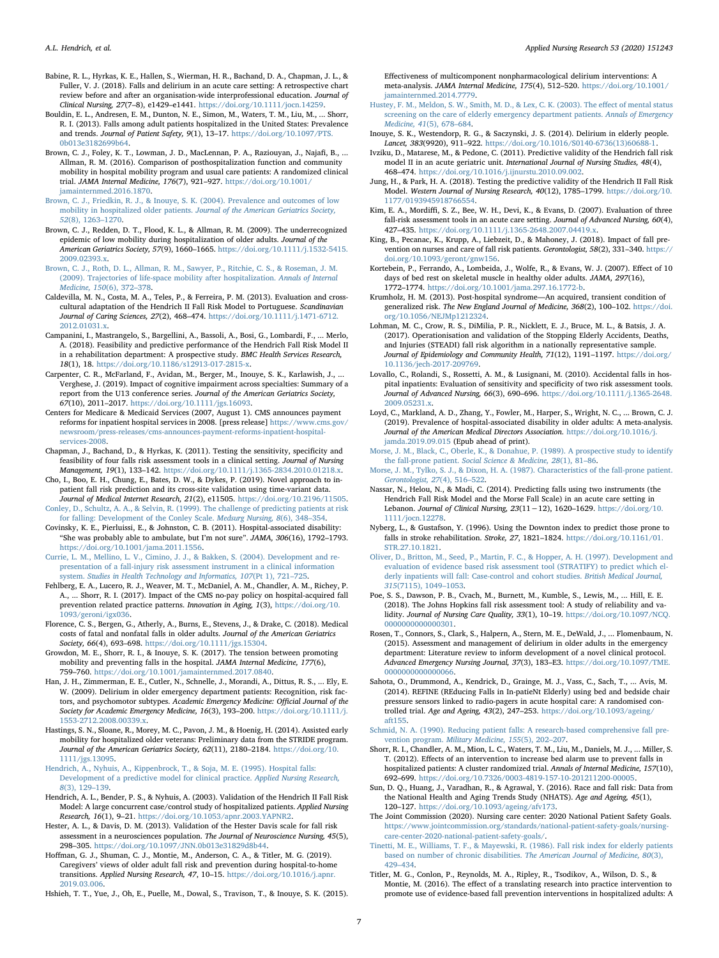- <span id="page-6-30"></span>Babine, R. L., Hyrkas, K. E., Hallen, S., Wierman, H. R., Bachand, D. A., Chapman, J. L., & Fuller, V. J. (2018). Falls and delirium in an acute care setting: A retrospective chart review before and after an organisation-wide interprofessional education. *Journal of Clinical Nursing, 27*(7–8), e1429–e1441. <https://doi.org/10.1111/jocn.14259>.
- <span id="page-6-1"></span>Bouldin, E. L., Andresen, E. M., Dunton, N. E., Simon, M., Waters, T. M., Liu, M., ... Shorr, R. I. (2013). Falls among adult patients hospitalized in the United States: Prevalence and trends. *Journal of Patient Safety, 9*(1), 13–17. [https://doi.org/10.1097/PTS.](https://doi.org/10.1097/PTS.0b013e3182699b64) [0b013e3182699b64](https://doi.org/10.1097/PTS.0b013e3182699b64).
- <span id="page-6-32"></span>Brown, C. J., Foley, K. T., Lowman, J. D., MacLennan, P. A., Raziouyan, J., Najafi, B., ... Allman, R. M. (2016). Comparison of posthospitalization function and community mobility in hospital mobility program and usual care patients: A randomized clinical trial. *JAMA Internal Medicine, 176*(7), 921–927. [https://doi.org/10.1001/](https://doi.org/10.1001/jamainternmed.2016.1870) [jamainternmed.2016.1870.](https://doi.org/10.1001/jamainternmed.2016.1870)
- <span id="page-6-19"></span>[Brown, C. J., Friedkin, R. J., & Inouye, S. K. \(2004\). Prevalence and outcomes of low](http://refhub.elsevier.com/S0897-1897(19)30621-4/rf0030) mobility in hospitalized older patients. *[Journal of the American Geriatrics Society,](http://refhub.elsevier.com/S0897-1897(19)30621-4/rf0030) 52*[\(8\), 1263](http://refhub.elsevier.com/S0897-1897(19)30621-4/rf0030)–1270.
- <span id="page-6-20"></span>Brown, C. J., Redden, D. T., Flood, K. L., & Allman, R. M. (2009). The underrecognized epidemic of low mobility during hospitalization of older adults. *Journal of the American Geriatrics Society, 57*(9), 1660–1665. [https://doi.org/10.1111/j.1532-5415.](https://doi.org/10.1111/j.1532-5415.2009.02393.x) [2009.02393.x.](https://doi.org/10.1111/j.1532-5415.2009.02393.x)
- <span id="page-6-21"></span>[Brown, C. J., Roth, D. L., Allman, R. M., Sawyer, P., Ritchie, C. S., & Roseman, J. M.](http://refhub.elsevier.com/S0897-1897(19)30621-4/rf0040) [\(2009\). Trajectories of life-space mobility after hospitalization.](http://refhub.elsevier.com/S0897-1897(19)30621-4/rf0040) *Annals of Internal [Medicine, 150](http://refhub.elsevier.com/S0897-1897(19)30621-4/rf0040)*(6), 372–378.
- <span id="page-6-34"></span>Caldevilla, M. N., Costa, M. A., Teles, P., & Ferreira, P. M. (2013). Evaluation and crosscultural adaptation of the Hendrich II Fall Risk Model to Portuguese. *Scandinavian Journal of Caring Sciences, 27*(2), 468–474. [https://doi.org/10.1111/j.1471-6712.](https://doi.org/10.1111/j.1471-6712.2012.01031.x) [2012.01031.x.](https://doi.org/10.1111/j.1471-6712.2012.01031.x)
- <span id="page-6-35"></span>Campanini, I., Mastrangelo, S., Bargellini, A., Bassoli, A., Bosi, G., Lombardi, F., ... Merlo, A. (2018). Feasibility and predictive performance of the Hendrich Fall Risk Model II in a rehabilitation department: A prospective study. *BMC Health Services Research, 18*(1), 18. [https://doi.org/10.1186/s12913-017-2815-x.](https://doi.org/10.1186/s12913-017-2815-x)
- <span id="page-6-44"></span>Carpenter, C. R., McFarland, F., Avidan, M., Berger, M., Inouye, S. K., Karlawish, J., ... Verghese, J. (2019). Impact of cognitive impairment across specialties: Summary of a report from the U13 conference series. *Journal of the American Geriatrics Society, 67*(10), 2011–2017. [https://doi.org/10.1111/jgs.16093.](https://doi.org/10.1111/jgs.16093)
- <span id="page-6-15"></span>Centers for Medicare & Medicaid Services (2007, August 1). CMS announces payment reforms for inpatient hospital services in 2008. [press release] [https://www.cms.gov/](https://www.cms.gov/newsroom/press-releases/cms-announces-payment-reforms-inpatient-hospital-services-2008) [newsroom/press-releases/cms-announces-payment-reforms-inpatient-hospital](https://www.cms.gov/newsroom/press-releases/cms-announces-payment-reforms-inpatient-hospital-services-2008)[services-2008](https://www.cms.gov/newsroom/press-releases/cms-announces-payment-reforms-inpatient-hospital-services-2008).
- <span id="page-6-36"></span>Chapman, J., Bachand, D., & Hyrkas, K. (2011). Testing the sensitivity, specificity and feasibility of four falls risk assessment tools in a clinical setting. *Journal of Nursing Management, 19*(1), 133–142. [https://doi.org/10.1111/j.1365-2834.2010.01218.x.](https://doi.org/10.1111/j.1365-2834.2010.01218.x)
- <span id="page-6-37"></span>Cho, I., Boo, E. H., Chung, E., Bates, D. W., & Dykes, P. (2019). Novel approach to inpatient fall risk prediction and its cross-site validation using time-variant data. *Journal of Medical Internet Research, 21*(2), e11505. [https://doi.org/10.2196/11505.](https://doi.org/10.2196/11505)
- <span id="page-6-2"></span>[Conley, D., Schultz, A. A., & Selvin, R. \(1999\). The challenge of predicting patients at risk](http://refhub.elsevier.com/S0897-1897(19)30621-4/rf0075) [for falling: Development of the Conley Scale.](http://refhub.elsevier.com/S0897-1897(19)30621-4/rf0075) *Medsurg Nursing, 8*(6), 348–354.
- <span id="page-6-22"></span>Covinsky, K. E., Pierluissi, E., & Johnston, C. B. (2011). Hospital-associated disability: "She was probably able to ambulate, but I'm not sure". *JAMA, 306*(16), 1792–1793. <https://doi.org/10.1001/jama.2011.1556>.
- <span id="page-6-3"></span>[Currie, L. M., Mellino, L. V., Cimino, J. J., & Bakken, S. \(2004\). Development and re](http://refhub.elsevier.com/S0897-1897(19)30621-4/rf0085)[presentation of a fall-injury risk assessment instrument in a clinical information](http://refhub.elsevier.com/S0897-1897(19)30621-4/rf0085) system. *[Studies in Health Technology and Informatics, 107](http://refhub.elsevier.com/S0897-1897(19)30621-4/rf0085)*(Pt 1), 721–725.
- <span id="page-6-17"></span>Fehlberg, E. A., Lucero, R. J., Weaver, M. T., McDaniel, A. M., Chandler, A. M., Richey, P. A., ... Shorr, R. I. (2017). Impact of the CMS no-pay policy on hospital-acquired fall prevention related practice patterns. *Innovation in Aging, 1*(3), [https://doi.org/10.](https://doi.org/10.1093/geroni/igx036) [1093/geroni/igx036](https://doi.org/10.1093/geroni/igx036).
- <span id="page-6-0"></span>Florence, C. S., Bergen, G., Atherly, A., Burns, E., Stevens, J., & Drake, C. (2018). Medical costs of fatal and nonfatal falls in older adults. *Journal of the American Geriatrics Society, 66*(4), 693–698. [https://doi.org/10.1111/jgs.15304.](https://doi.org/10.1111/jgs.15304)
- <span id="page-6-18"></span>Growdon, M. E., Shorr, R. I., & Inouye, S. K. (2017). The tension between promoting mobility and preventing falls in the hospital. *JAMA Internal Medicine, 177*(6), 759–760. <https://doi.org/10.1001/jamainternmed.2017.0840>.
- <span id="page-6-46"></span>Han, J. H., Zimmerman, E. E., Cutler, N., Schnelle, J., Morandi, A., Dittus, R. S., ... Ely, E. W. (2009). Delirium in older emergency department patients: Recognition, risk factors, and psychomotor subtypes. *Academic Emergency Medicine: O*ffi*cial Journal of the Society for Academic Emergency Medicine, 16*(3), 193–200. [https://doi.org/10.1111/j.](https://doi.org/10.1111/j.1553-2712.2008.00339.x) [1553-2712.2008.00339.x](https://doi.org/10.1111/j.1553-2712.2008.00339.x).
- <span id="page-6-33"></span>Hastings, S. N., Sloane, R., Morey, M. C., Pavon, J. M., & Hoenig, H. (2014). Assisted early mobility for hospitalized older veterans: Preliminary data from the STRIDE program. *Journal of the American Geriatrics Society, 62*(11), 2180–2184. [https://doi.org/10.](https://doi.org/10.1111/jgs.13095) [1111/jgs.13095.](https://doi.org/10.1111/jgs.13095)
- <span id="page-6-5"></span>[Hendrich, A., Nyhuis, A., Kippenbrock, T., & Soja, M. E. \(1995\). Hospital falls:](http://refhub.elsevier.com/S0897-1897(19)30621-4/rf0115) [Development of a predictive model for clinical practice.](http://refhub.elsevier.com/S0897-1897(19)30621-4/rf0115) *Applied Nursing Research, 8*[\(3\), 129](http://refhub.elsevier.com/S0897-1897(19)30621-4/rf0115)–139.
- <span id="page-6-4"></span>Hendrich, A. L., Bender, P. S., & Nyhuis, A. (2003). Validation of the Hendrich II Fall Risk Model: A large concurrent case/control study of hospitalized patients. *Applied Nursing Research, 16*(1), 9–21. <https://doi.org/10.1053/apnr.2003.YAPNR2>.
- <span id="page-6-6"></span>Hester, A. L., & Davis, D. M. (2013). Validation of the Hester Davis scale for fall risk assessment in a neurosciences population. *The Journal of Neuroscience Nursing, 45*(5), 298–305. [https://doi.org/10.1097/JNN.0b013e31829d8b44.](https://doi.org/10.1097/JNN.0b013e31829d8b44)
- <span id="page-6-26"></span>Hoffman, G. J., Shuman, C. J., Montie, M., Anderson, C. A., & Titler, M. G. (2019). Caregivers' views of older adult fall risk and prevention during hospital-to-home transitions. *Applied Nursing Research, 47*, 10–15. [https://doi.org/10.1016/j.apnr.](https://doi.org/10.1016/j.apnr.2019.03.006) [2019.03.006](https://doi.org/10.1016/j.apnr.2019.03.006).

<span id="page-6-31"></span>Hshieh, T. T., Yue, J., Oh, E., Puelle, M., Dowal, S., Travison, T., & Inouye, S. K. (2015).

Effectiveness of multicomponent nonpharmacological delirium interventions: A meta-analysis. *JAMA Internal Medicine, 175*(4), 512–520. [https://doi.org/10.1001/](https://doi.org/10.1001/jamainternmed.2014.7779) [jamainternmed.2014.7779.](https://doi.org/10.1001/jamainternmed.2014.7779)

- <span id="page-6-48"></span>[Hustey, F. M., Meldon, S. W., Smith, M. D., & Lex, C. K. \(2003\). The e](http://refhub.elsevier.com/S0897-1897(19)30621-4/rf0140)ffect of mental status [screening on the care of elderly emergency department patients.](http://refhub.elsevier.com/S0897-1897(19)30621-4/rf0140) *Annals of Emergency [Medicine, 41](http://refhub.elsevier.com/S0897-1897(19)30621-4/rf0140)*(5), 678–684.
- <span id="page-6-45"></span>Inouye, S. K., Westendorp, R. G., & Saczynski, J. S. (2014). Delirium in elderly people. *Lancet, 383*(9920), 911-922. https://doi.org/10.1016/S0140-6736(13)60688
- <span id="page-6-38"></span>Ivziku, D., Matarese, M., & Pedone, C. (2011). Predictive validity of the Hendrich fall risk model II in an acute geriatric unit. *International Journal of Nursing Studies, 48*(4), 468–474. <https://doi.org/10.1016/j.ijnurstu.2010.09.002>.
- <span id="page-6-39"></span>Jung, H., & Park, H. A. (2018). Testing the predictive validity of the Hendrich II Fall Risk Model. *Western Journal of Nursing Research, 40*(12), 1785–1799. [https://doi.org/10.](https://doi.org/10.1177/0193945918766554) [1177/0193945918766554](https://doi.org/10.1177/0193945918766554).
- <span id="page-6-40"></span>Kim, E. A., Mordiffi, S. Z., Bee, W. H., Devi, K., & Evans, D. (2007). Evaluation of three fall-risk assessment tools in an acute care setting. *Journal of Advanced Nursing, 60*(4), 427–435. <https://doi.org/10.1111/j.1365-2648.2007.04419.x>.
- <span id="page-6-27"></span>King, B., Pecanac, K., Krupp, A., Liebzeit, D., & Mahoney, J. (2018). Impact of fall prevention on nurses and care of fall risk patients. *Gerontologist, 58*(2), 331–340. [https://](https://doi.org/10.1093/geront/gnw156) [doi.org/10.1093/geront/gnw156](https://doi.org/10.1093/geront/gnw156).
- <span id="page-6-23"></span>Kortebein, P., Ferrando, A., Lombeida, J., Wolfe, R., & Evans, W. J. (2007). Effect of 10 days of bed rest on skeletal muscle in healthy older adults. *JAMA, 297*(16), 1772–1774. <https://doi.org/10.1001/jama.297.16.1772-b>.
- <span id="page-6-24"></span>Krumholz, H. M. (2013). Post-hospital syndrome—An acquired, transient condition of generalized risk. *The New England Journal of Medicine, 368*(2), 100–102. [https://doi.](https://doi.org/10.1056/NEJMp1212324) [org/10.1056/NEJMp1212324](https://doi.org/10.1056/NEJMp1212324).
- <span id="page-6-7"></span>Lohman, M. C., Crow, R. S., DiMilia, P. R., Nicklett, E. J., Bruce, M. L., & Batsis, J. A. (2017). Operationisation and validation of the Stopping Elderly Accidents, Deaths, and Injuries (STEADI) fall risk algorithm in a nationally representative sample. *Journal of Epidemiology and Community Health, 71*(12), 1191–1197. [https://doi.org/](https://doi.org/10.1136/jech-2017-209769) [10.1136/jech-2017-209769.](https://doi.org/10.1136/jech-2017-209769)
- <span id="page-6-41"></span>Lovallo, C., Rolandi, S., Rossetti, A. M., & Lusignani, M. (2010). Accidental falls in hospital inpatients: Evaluation of sensitivity and specificity of two risk assessment tools. *Journal of Advanced Nursing, 66*(3), 690–696. [https://doi.org/10.1111/j.1365-2648.](https://doi.org/10.1111/j.1365-2648.2009.05231.x) [2009.05231.x.](https://doi.org/10.1111/j.1365-2648.2009.05231.x)
- <span id="page-6-25"></span>Loyd, C., Markland, A. D., Zhang, Y., Fowler, M., Harper, S., Wright, N. C., ... Brown, C. J. (2019). Prevalence of hospital-associated disability in older adults: A meta-analysis. *Journal of the American Medical Directors Association*. [https://doi.org/10.1016/j.](https://doi.org/10.1016/j.jamda.2019.09.015) jamda.2019.09.015 [\(Epub ahead of print\)](https://doi.org/10.1016/j.jamda.2019.09.015).
- <span id="page-6-8"></span>[Morse, J. M., Black, C., Oberle, K., & Donahue, P. \(1989\). A prospective study to identify](http://refhub.elsevier.com/S0897-1897(19)30621-4/rf0195) the fall-prone patient. *[Social Science & Medicine, 28](http://refhub.elsevier.com/S0897-1897(19)30621-4/rf0195)*(1), 81–86.
- <span id="page-6-9"></span>[Morse, J. M., Tylko, S. J., & Dixon, H. A. \(1987\). Characteristics of the fall-prone patient.](http://refhub.elsevier.com/S0897-1897(19)30621-4/rf0200) *[Gerontologist, 27](http://refhub.elsevier.com/S0897-1897(19)30621-4/rf0200)*(4), 516–522.
- <span id="page-6-42"></span>Nassar, N., Helou, N., & Madi, C. (2014). Predicting falls using two instruments (the Hendrich Fall Risk Model and the Morse Fall Scale) in an acute care setting in Lebanon. *Journal of Clinical Nursing, 23*(11−12), 1620–1629. [https://doi.org/10.](https://doi.org/10.1111/jocn.12278) [1111/jocn.12278.](https://doi.org/10.1111/jocn.12278)
- <span id="page-6-10"></span>Nyberg, L., & Gustafson, Y. (1996). Using the Downton index to predict those prone to falls in stroke rehabilitation. *Stroke, 27*, 1821–1824. [https://doi.org/10.1161/01.](https://doi.org/10.1161/01.STR.27.10.1821) [STR.27.10.1821.](https://doi.org/10.1161/01.STR.27.10.1821)
- <span id="page-6-11"></span>[Oliver, D., Britton, M., Seed, P., Martin, F. C., & Hopper, A. H. \(1997\). Development and](http://refhub.elsevier.com/S0897-1897(19)30621-4/rf0215) [evaluation of evidence based risk assessment tool \(STRATIFY\) to predict which el](http://refhub.elsevier.com/S0897-1897(19)30621-4/rf0215)[derly inpatients will fall: Case-control and cohort studies.](http://refhub.elsevier.com/S0897-1897(19)30621-4/rf0215) *British Medical Journal, 315*[\(7115\), 1049](http://refhub.elsevier.com/S0897-1897(19)30621-4/rf0215)–1053.
- <span id="page-6-12"></span>Poe, S. S., Dawson, P. B., Cvach, M., Burnett, M., Kumble, S., Lewis, M., ... Hill, E. E. (2018). The Johns Hopkins fall risk assessment tool: A study of reliability and validity. *Journal of Nursing Care Quality, 33*(1), 10–19. [https://doi.org/10.1097/NCQ.](https://doi.org/10.1097/NCQ.0000000000000301) [0000000000000301.](https://doi.org/10.1097/NCQ.0000000000000301)
- <span id="page-6-47"></span>Rosen, T., Connors, S., Clark, S., Halpern, A., Stern, M. E., DeWald, J., ... Flomenbaum, N. (2015). Assessment and management of delirium in older adults in the emergency department: Literature review to inform development of a novel clinical protocol. *Advanced Emergency Nursing Journal, 37*(3), 183–E3. [https://doi.org/10.1097/TME.](https://doi.org/10.1097/TME.0000000000000066) [0000000000000066.](https://doi.org/10.1097/TME.0000000000000066)
- <span id="page-6-28"></span>Sahota, O., Drummond, A., Kendrick, D., Grainge, M. J., Vass, C., Sach, T., ... Avis, M. (2014). REFINE (REducing Falls in In-patieNt Elderly) using bed and bedside chair pressure sensors linked to radio-pagers in acute hospital care: A randomised controlled trial. *Age and Ageing, 43*(2), 247–253. [https://doi.org/10.1093/ageing/](https://doi.org/10.1093/ageing/aft155) [aft155.](https://doi.org/10.1093/ageing/aft155)
- <span id="page-6-13"></span>[Schmid, N. A. \(1990\). Reducing patient falls: A research-based comprehensive fall pre](http://refhub.elsevier.com/S0897-1897(19)30621-4/rf0235)vention program. *[Military Medicine, 155](http://refhub.elsevier.com/S0897-1897(19)30621-4/rf0235)*(5), 202–207.
- <span id="page-6-29"></span>Shorr, R. I., Chandler, A. M., Mion, L. C., Waters, T. M., Liu, M., Daniels, M. J., ... Miller, S. T. (2012). Effects of an intervention to increase bed alarm use to prevent falls in hospitalized patients: A cluster randomized trial. *Annals of Internal Medicine, 157*(10), 692–699. <https://doi.org/10.7326/0003-4819-157-10-201211200-00005>.
- <span id="page-6-43"></span>Sun, D. Q., Huang, J., Varadhan, R., & Agrawal, Y. (2016). Race and fall risk: Data from the National Health and Aging Trends Study (NHATS). *Age and Ageing, 45*(1), 120–127. <https://doi.org/10.1093/ageing/afv173>.
- <span id="page-6-16"></span>The Joint Commission (2020). Nursing care center: 2020 National Patient Safety Goals. [https://www.jointcommission.org/standards/national-patient-safety-goals/nursing](https://www.jointcommission.org/standards/national-patient-safety-goals/nursing-care-center-2020-national-patient-safety-goals/)[care-center-2020-national-patient-safety-goals/.](https://www.jointcommission.org/standards/national-patient-safety-goals/nursing-care-center-2020-national-patient-safety-goals/)
- <span id="page-6-14"></span>[Tinetti, M. E., Williams, T. F., & Mayewski, R. \(1986\). Fall risk index for elderly patients](http://refhub.elsevier.com/S0897-1897(19)30621-4/rf0255) [based on number of chronic disabilities.](http://refhub.elsevier.com/S0897-1897(19)30621-4/rf0255) *The American Journal of Medicine, 80*(3), 429–[434](http://refhub.elsevier.com/S0897-1897(19)30621-4/rf0255).
- <span id="page-6-49"></span>Titler, M. G., Conlon, P., Reynolds, M. A., Ripley, R., Tsodikov, A., Wilson, D. S., & Montie, M. (2016). The effect of a translating research into practice intervention to promote use of evidence-based fall prevention interventions in hospitalized adults: A